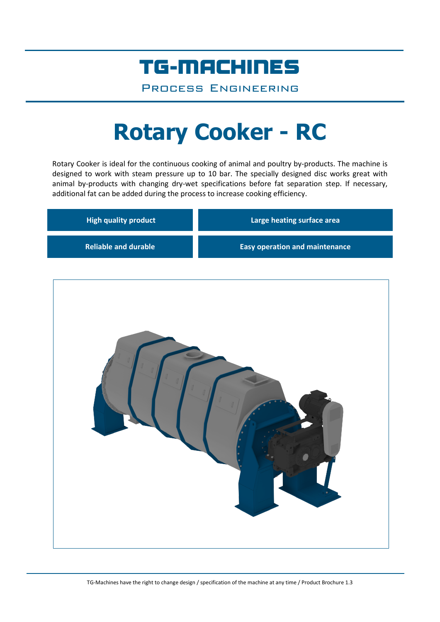## TG-MACHINES

Process Engineering

# **Rotary Cooker - RC**

Rotary Cooker is ideal for the continuous cooking of animal and poultry by-products. The machine is designed to work with steam pressure up to 10 bar. The specially designed disc works great with animal by-products with changing dry-wet specifications before fat separation step. If necessary, additional fat can be added during the process to increase cooking efficiency.

| <b>High quality product</b> | Large heating surface area            |  |  |
|-----------------------------|---------------------------------------|--|--|
| <b>Reliable and durable</b> | <b>Easy operation and maintenance</b> |  |  |